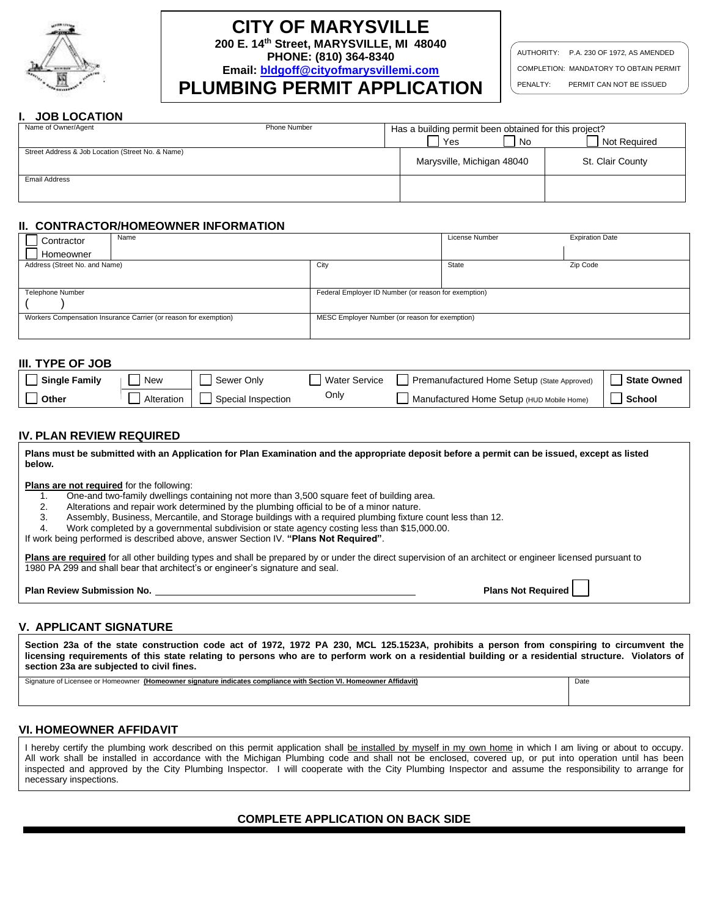

# **CITY OF MARYSVILLE**

**200 E. 14th Street, MARYSVILLE, MI 48040**

**PHONE: (810) 364-8340**

**Email: [bldgoff@cityofmarysvillemi.com](mailto:bldgoff@cityofmarysvillemi.com) PLUMBING PERMIT APPLICATION**

AUTHORITY: P.A. 230 OF 1972, AS AMENDED COMPLETION: MANDATORY TO OBTAIN PERMIT

#### PENALTY: PERMIT CAN NOT BE ISSUED

## **I. JOB LOCATION**

| Name of Owner/Agent                               | Phone Number | Has a building permit been obtained for this project? |                            |      |                  |
|---------------------------------------------------|--------------|-------------------------------------------------------|----------------------------|------|------------------|
|                                                   |              |                                                       | Yes                        | l No | Not Required     |
| Street Address & Job Location (Street No. & Name) |              |                                                       |                            |      |                  |
|                                                   |              |                                                       | Marysville, Michigan 48040 |      | St. Clair County |
| <b>Email Address</b>                              |              |                                                       |                            |      |                  |
|                                                   |              |                                                       |                            |      |                  |
|                                                   |              |                                                       |                            |      |                  |

## **II. CONTRACTOR/HOMEOWNER INFORMATION**

| Contractor                    | Name                                                             |                                                      | License Number | <b>Expiration Date</b> |
|-------------------------------|------------------------------------------------------------------|------------------------------------------------------|----------------|------------------------|
| Homeowner                     |                                                                  |                                                      |                |                        |
| Address (Street No. and Name) |                                                                  | City                                                 | State          | Zip Code               |
|                               |                                                                  |                                                      |                |                        |
| Telephone Number              |                                                                  | Federal Employer ID Number (or reason for exemption) |                |                        |
|                               |                                                                  |                                                      |                |                        |
|                               | Workers Compensation Insurance Carrier (or reason for exemption) | MESC Employer Number (or reason for exemption)       |                |                        |
|                               |                                                                  |                                                      |                |                        |

#### **III. TYPE OF JOB**

| <b>Single Family</b> | <b>New</b> | Sewer Only         | Water Service | Premanufactured Home Setup (State Approved) | <b>State Owned</b> |
|----------------------|------------|--------------------|---------------|---------------------------------------------|--------------------|
| Other                | Alteration | Special Inspection | Only          | Manufactured Home Setup (HUD Mobile Home)   | School             |

## **IV. PLAN REVIEW REQUIRED**

| Plans must be submitted with an Application for Plan Examination and the appropriate deposit before a permit can be issued, except as listed<br>below.                                                                                                                                                                                                                                                                                                                                                                                                           |                    |
|------------------------------------------------------------------------------------------------------------------------------------------------------------------------------------------------------------------------------------------------------------------------------------------------------------------------------------------------------------------------------------------------------------------------------------------------------------------------------------------------------------------------------------------------------------------|--------------------|
| <b>Plans are not required for the following:</b><br>One-and two-family dwellings containing not more than 3,500 square feet of building area.<br>Alterations and repair work determined by the plumbing official to be of a minor nature.<br>2.<br>Assembly, Business, Mercantile, and Storage buildings with a required plumbing fixture count less than 12.<br>3.<br>Work completed by a governmental subdivision or state agency costing less than \$15,000.00.<br>4.<br>If work being performed is described above, answer Section IV. "Plans Not Required". |                    |
| Plans are required for all other building types and shall be prepared by or under the direct supervision of an architect or engineer licensed pursuant to<br>1980 PA 299 and shall bear that architect's or engineer's signature and seal.                                                                                                                                                                                                                                                                                                                       |                    |
| <b>Plan Review Submission No.</b>                                                                                                                                                                                                                                                                                                                                                                                                                                                                                                                                | Plans Not Required |
|                                                                                                                                                                                                                                                                                                                                                                                                                                                                                                                                                                  |                    |

# **V. APPLICANT SIGNATURE**

**Section 23a of the state construction code act of 1972, 1972 PA 230, MCL 125.1523A, prohibits a person from conspiring to circumvent the licensing requirements of this state relating to persons who are to perform work on a residential building or a residential structure. Violators of section 23a are subjected to civil fines.**  Signature of Licensee or Homeowner **(Homeowner signature indicates compliance with Section VI. Homeowner Affidavit)** Date

## **VI. HOMEOWNER AFFIDAVIT**

I hereby certify the plumbing work described on this permit application shall be installed by myself in my own home in which I am living or about to occupy. All work shall be installed in accordance with the Michigan Plumbing code and shall not be enclosed, covered up, or put into operation until has been inspected and approved by the City Plumbing Inspector. I will cooperate with the City Plumbing Inspector and assume the responsibility to arrange for necessary inspections.

# **COMPLETE APPLICATION ON BACK SIDE**